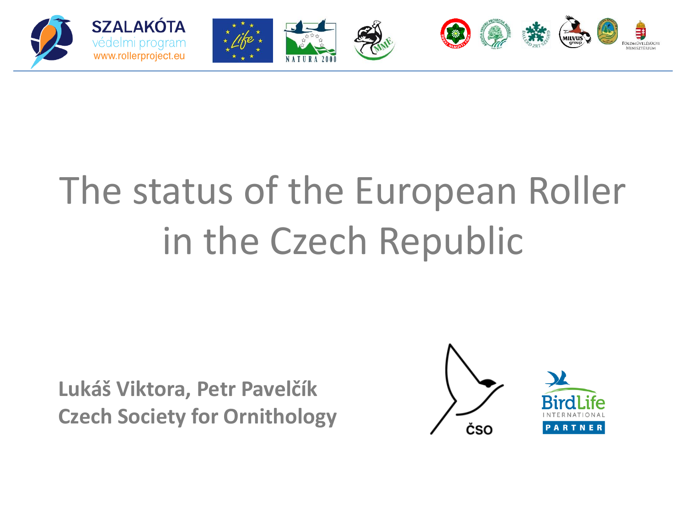

# The status of the European Roller in the Czech Republic

**Lukáš Viktora, Petr Pavelčík Czech Society for Ornithology**

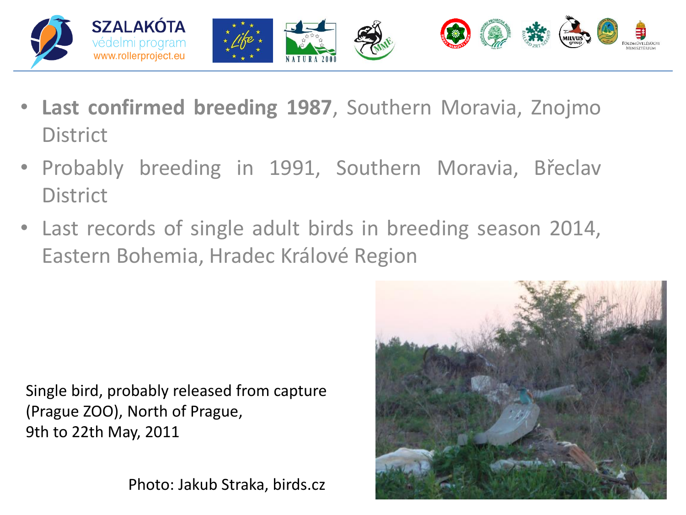

- **Last confirmed breeding 1987**, Southern Moravia, Znojmo **District**
- Probably breeding in 1991, Southern Moravia, Břeclav **District**
- Last records of single adult birds in breeding season 2014, Eastern Bohemia, Hradec Králové Region

Single bird, probably released from capture (Prague ZOO), North of Prague, 9th to 22th May, 2011

Photo: Jakub Straka, birds.cz

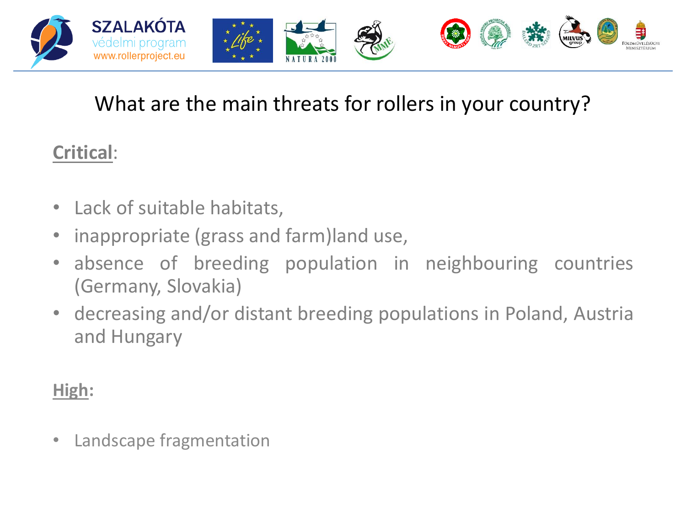

#### What are the main threats for rollers in your country?

#### **Critical**:

- Lack of suitable habitats,
- inappropriate (grass and farm)land use,
- absence of breeding population in neighbouring countries (Germany, Slovakia)
- decreasing and/or distant breeding populations in Poland, Austria and Hungary

#### **High:**

• Landscape fragmentation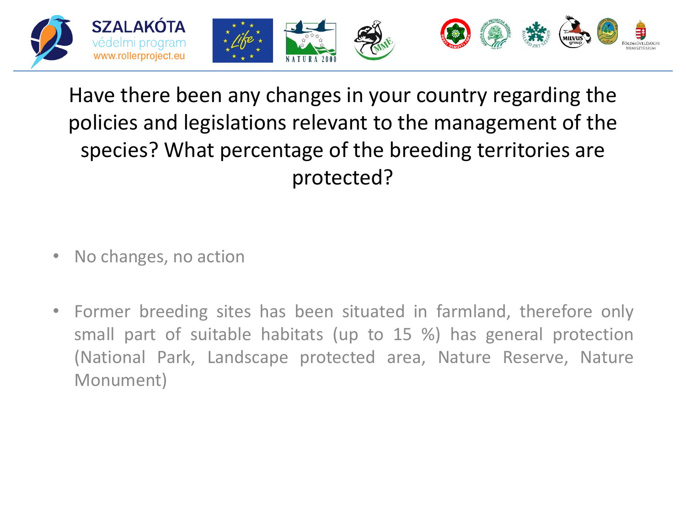

## Have there been any changes in your country regarding the policies and legislations relevant to the management of the species? What percentage of the breeding territories are protected?

- No changes, no action
- Former breeding sites has been situated in farmland, therefore only small part of suitable habitats (up to 15 %) has general protection (National Park, Landscape protected area, Nature Reserve, Nature Monument)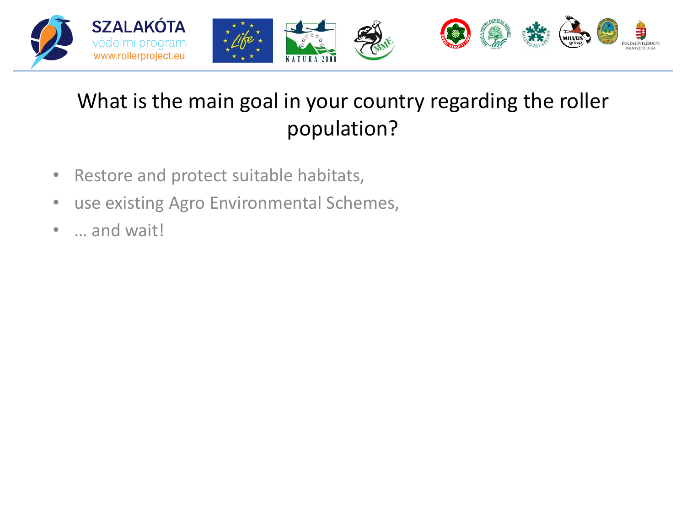

## What is the main goal in your country regarding the roller population?

- Restore and protect suitable habitats,
- use existing Agro Environmental Schemes,
- ... and wait!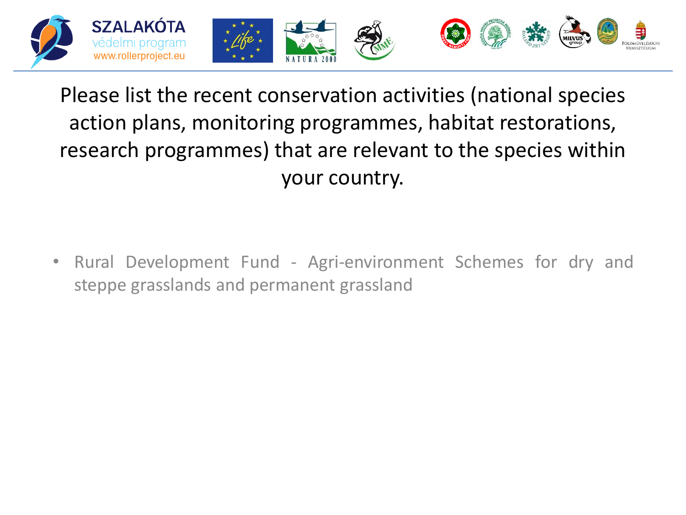

## Please list the recent conservation activities (national species action plans, monitoring programmes, habitat restorations, research programmes) that are relevant to the species within your country.

• Rural Development Fund - Agri-environment Schemes for dry and steppe grasslands and permanent grassland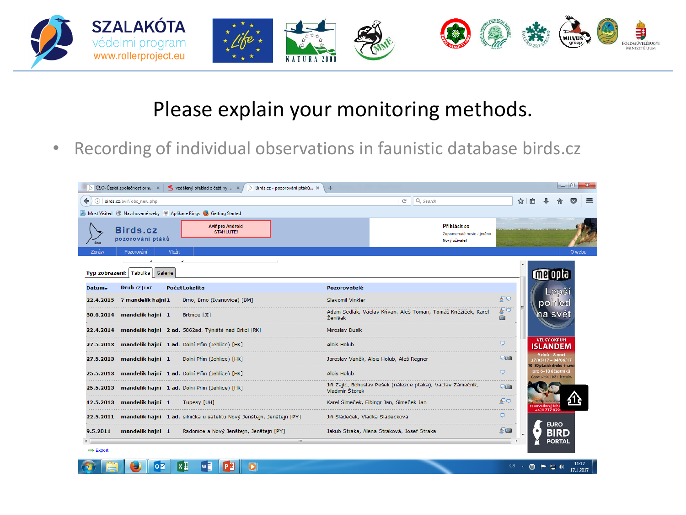

#### Please explain your monitoring methods.

• Recording of individual observations in faunistic database birds.cz

|                      |                                  |        | ČSO-Česká společnost orni $\infty$ $\leq$ vzdálený překlad z češtiny $\infty$ /<br>Birds.cz - pozorování ptáků x | ÷                                |                                                               |            |  |                                                                      |       |        |
|----------------------|----------------------------------|--------|------------------------------------------------------------------------------------------------------------------|----------------------------------|---------------------------------------------------------------|------------|--|----------------------------------------------------------------------|-------|--------|
| (i)                  | birds.cz/avif/obs_new.php        |        |                                                                                                                  |                                  | Q Search<br>C                                                 |            |  |                                                                      |       |        |
|                      |                                  |        | A Most Visited @ Navrhované weby @ Aplikace Rings & Getting Started                                              |                                  |                                                               |            |  |                                                                      |       |        |
|                      | Birds.cz<br>pozorování ptáků     |        | <b>Avif pro Android</b><br><b>STAHUJTE!</b>                                                                      |                                  | Přihlásit se<br>Zapomenuté heslo / jméno<br>Nový uživatel     |            |  |                                                                      |       |        |
| Zprávy               | Pozorování                       | Vložit |                                                                                                                  |                                  |                                                               |            |  |                                                                      |       | O webu |
|                      | Typ zobrazení: Tabulka   Galerie |        | $\mathbf{r}$                                                                                                     |                                  |                                                               |            |  | WG ODI                                                               |       |        |
| Datum-               | <b>Druh CZ   LAT</b>             |        | Počet Lokalita                                                                                                   | Pozorovatelé                     |                                                               |            |  |                                                                      | Lepsi |        |
|                      | 22.4.2015 ? mandelík hajní 1     |        | Brno, Brno (Ivanovice) [BM]                                                                                      | Slavomil Vinkler                 |                                                               | தி         |  | pohled                                                               |       |        |
|                      | 30.6.2014 mandelík hajní 1       |        | <b>Brtnice [JI]</b>                                                                                              | Ženíšek                          | Adam Sedlák, Václav Křivan, Aleš Toman, Tomáš Kněžíček, Karel | క్టిన      |  | na svet                                                              |       |        |
|                      |                                  |        | 22.4.2014 mandelík hajní 2 ad. 5862ad, Týniště nad Orlicí [RK]<br>--------------------------------------         | Miroslav Dusík                   |                                                               |            |  |                                                                      |       |        |
|                      |                                  |        | 27.5.2013 mandelík hajní 1 ad. Dolní Přím (Jehlice) [HK]                                                         | Alois Holub                      |                                                               | $\bigcirc$ |  | <b>VELKÝ OKRUH</b><br><b>ISLANDEM</b>                                |       |        |
|                      |                                  |        | 27.5.2013 mandelík hajní 1 Dolní Přím (Jehlice) [HK]                                                             |                                  | Jaroslav Vaněk, Alois Holub, Aleš Regner                      | 961        |  | 9 dnů – 8 noci<br>27/05/17 - 04/06/17<br>70-80 ptačích druhů + savci |       |        |
|                      |                                  |        | 25.5.2013 mandelík hajní 1 ad. Dolní Přím (Jehlice) [HK]<br>                                                     | Alois Holub                      |                                                               | $\Box$     |  | pro 6–10 účastníků<br>Cena: 69 900 Kč + letenka                      |       |        |
|                      |                                  |        | 25.5.2013 mandelík hajní 1 ad. Dolní Přím (Jehlice) [HK]                                                         | Vladimír Štorek                  | Jiří Zajíc, Bohuslav Pešek (nálezce ptáka), Václav Zámečník,  | $\nabla$ m |  |                                                                      |       |        |
|                      | 12.5.2013 mandelík hajní 1       |        | Tupesy [UH]                                                                                                      |                                  | Karel Šimeček, Fibingr Jan, Šimeček Jan                       | ⇔ೂ         |  |                                                                      |       |        |
|                      |                                  |        | 22.5.2011 mandelík hajní 1 ad. silnička u satelitu Nový Jenštejn, Jenštejn [PY]                                  | Jiří Sládeček, Vladka Sládečková |                                                               | $\Box$     |  | +420 777 929<br><b>EURO</b>                                          |       |        |
| 9.5.2011             | mandelík hajní 1                 |        | Radonice a Nový Jenštejn, Jenštejn [PY]                                                                          |                                  | Jakub Straka, Alena Straková, Josef Straka                    | $\sim$ 01  |  |                                                                      |       |        |
| $\Rightarrow$ Export |                                  |        | m.                                                                                                               |                                  |                                                               |            |  |                                                                      |       |        |

 $P<sub>2</sub>$ 

 $\sqrt{\frac{1}{2}}$ 

 $|oz|$ 

 $x \equiv$ 

 $\overline{\mathbf{o}}$ 

 $CS \rightarrow \bigcirc \longrightarrow \Box \longrightarrow \Box$  4)  $11:12$ <br>17.1.2017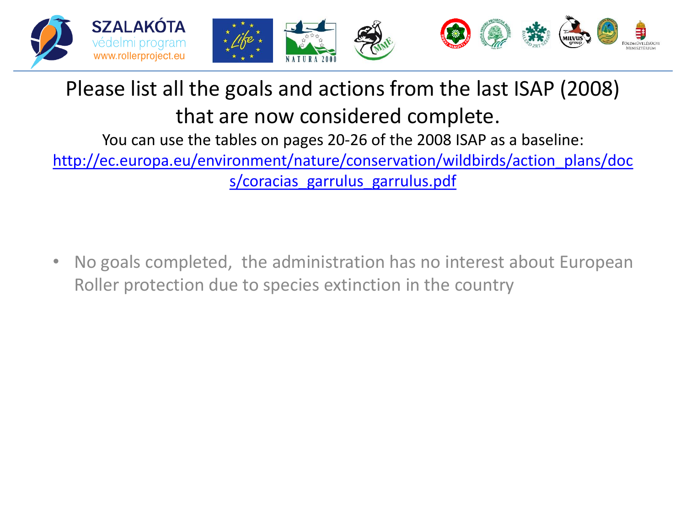

## Please list all the goals and actions from the last ISAP (2008) that are now considered complete.

You can use the tables on pages 20-26 of the 2008 ISAP as a baseline:

[http://ec.europa.eu/environment/nature/conservation/wildbirds/action\\_plans/doc](http://ec.europa.eu/environment/nature/conservation/wildbirds/action_plans/docs/coracias_garrulus_garrulus.pdf) [s/coracias\\_garrulus\\_garrulus.pdf](http://ec.europa.eu/environment/nature/conservation/wildbirds/action_plans/docs/coracias_garrulus_garrulus.pdf)

• No goals completed, the administration has no interest about European Roller protection due to species extinction in the country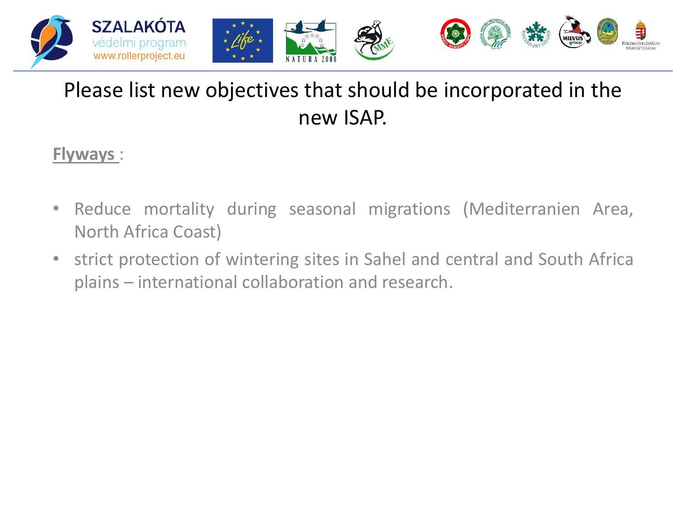

#### Please list new objectives that should be incorporated in the new ISAP.

#### **Flyways** :

- Reduce mortality during seasonal migrations (Mediterranien Area, North Africa Coast)
- strict protection of wintering sites in Sahel and central and South Africa plains – international collaboration and research.